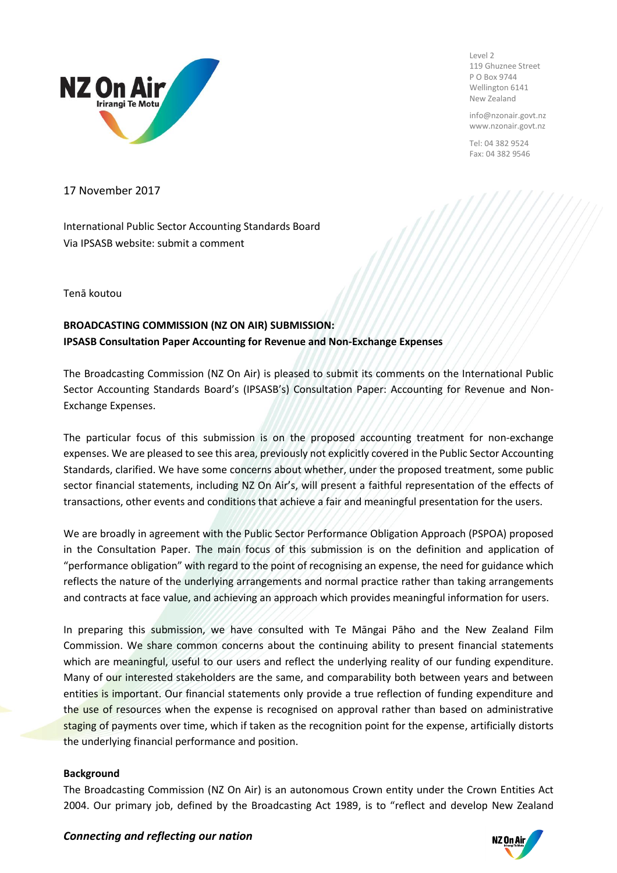

Level 2 119 Ghuznee Street P O Box 9744 Wellington 6141 New Zealand

info@nzonair.govt.nz www.nzonair.govt.nz

Tel: 04 382 9524 Fax: 04 382 9546

17 November 2017

International Public Sector Accounting Standards Board Via IPSASB website: submit a comment

Tenā koutou

# **BROADCASTING COMMISSION (NZ ON AIR) SUBMISSION: IPSASB Consultation Paper Accounting for Revenue and Non-Exchange Expenses**

The Broadcasting Commission (NZ On Air) is pleased to submit its comments on the International Public Sector Accounting Standards Board's (IPSASB's) Consultation Paper: Accounting for Revenue and Non-Exchange Expenses.

The particular focus of this submission is on the proposed accounting treatment for non-exchange expenses. We are pleased to see this area, previously not explicitly covered in the Public Sector Accounting Standards, clarified. We have some concerns about whether, under the proposed treatment, some public sector financial statements, including NZ On Air's, will present a faithful representation of the effects of transactions, other events and conditions that achieve a fair and meaningful presentation for the users.

We are broadly in agreement with the Public Sector Performance Obligation Approach (PSPOA) proposed in the Consultation Paper. The main focus of this submission is on the definition and application of "performance obligation" with regard to the point of recognising an expense, the need for guidance which reflects the nature of the underlying arrangements and normal practice rather than taking arrangements and contracts at face value, and achieving an approach which provides meaningful information for users.

In preparing this submission, we have consulted with Te Māngai Pāho and the New Zealand Film Commission. We share common concerns about the continuing ability to present financial statements which are meaningful, useful to our users and reflect the underlying reality of our funding expenditure. Many of our interested stakeholders are the same, and comparability both between years and between entities is important. Our financial statements only provide a true reflection of funding expenditure and the use of resources when the expense is recognised on approval rather than based on administrative staging of payments over time, which if taken as the recognition point for the expense, artificially distorts the underlying financial performance and position.

## **Background**

The Broadcasting Commission (NZ On Air) is an autonomous Crown entity under the Crown Entities Act 2004. Our primary job, defined by the Broadcasting Act 1989, is to "reflect and develop New Zealand

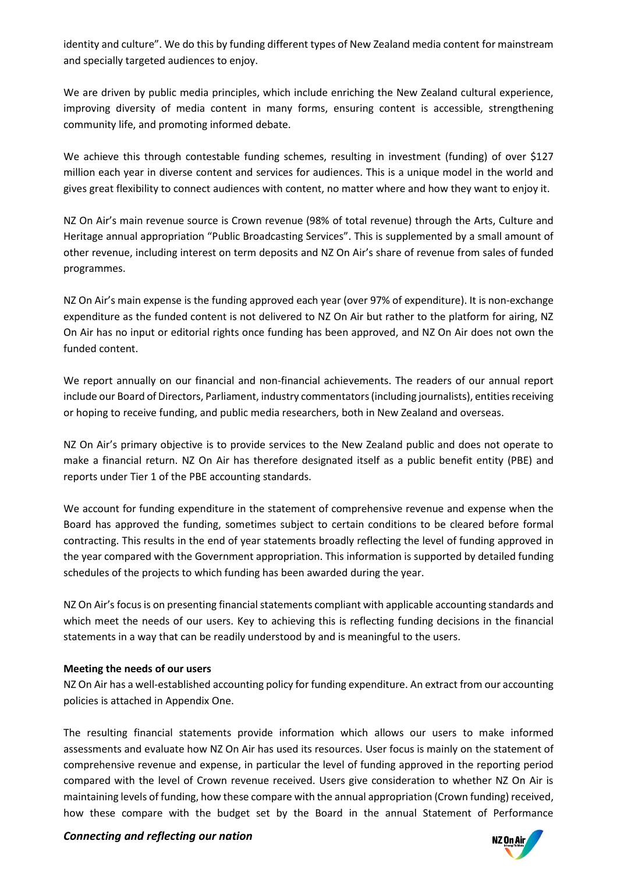identity and culture". We do this by funding different types of New Zealand media content for mainstream and specially targeted audiences to enjoy.

We are driven by public media principles, which include enriching the New Zealand cultural experience, improving diversity of media content in many forms, ensuring content is accessible, strengthening community life, and promoting informed debate.

We achieve this through contestable funding schemes, resulting in investment (funding) of over \$127 million each year in diverse content and services for audiences. This is a unique model in the world and gives great flexibility to connect audiences with content, no matter where and how they want to enjoy it.

NZ On Air's main revenue source is Crown revenue (98% of total revenue) through the Arts, Culture and Heritage annual appropriation "Public Broadcasting Services". This is supplemented by a small amount of other revenue, including interest on term deposits and NZ On Air's share of revenue from sales of funded programmes.

NZ On Air's main expense is the funding approved each year (over 97% of expenditure). It is non-exchange expenditure as the funded content is not delivered to NZ On Air but rather to the platform for airing, NZ On Air has no input or editorial rights once funding has been approved, and NZ On Air does not own the funded content.

We report annually on our financial and non-financial achievements. The readers of our annual report include our Board of Directors, Parliament, industry commentators (including journalists), entities receiving or hoping to receive funding, and public media researchers, both in New Zealand and overseas.

NZ On Air's primary objective is to provide services to the New Zealand public and does not operate to make a financial return. NZ On Air has therefore designated itself as a public benefit entity (PBE) and reports under Tier 1 of the PBE accounting standards.

We account for funding expenditure in the statement of comprehensive revenue and expense when the Board has approved the funding, sometimes subject to certain conditions to be cleared before formal contracting. This results in the end of year statements broadly reflecting the level of funding approved in the year compared with the Government appropriation. This information is supported by detailed funding schedules of the projects to which funding has been awarded during the year.

NZ On Air's focus is on presenting financial statements compliant with applicable accounting standards and which meet the needs of our users. Key to achieving this is reflecting funding decisions in the financial statements in a way that can be readily understood by and is meaningful to the users.

## **Meeting the needs of our users**

NZ On Air has a well-established accounting policy for funding expenditure. An extract from our accounting policies is attached in Appendix One.

The resulting financial statements provide information which allows our users to make informed assessments and evaluate how NZ On Air has used its resources. User focus is mainly on the statement of comprehensive revenue and expense, in particular the level of funding approved in the reporting period compared with the level of Crown revenue received. Users give consideration to whether NZ On Air is maintaining levels of funding, how these compare with the annual appropriation (Crown funding) received, how these compare with the budget set by the Board in the annual Statement of Performance



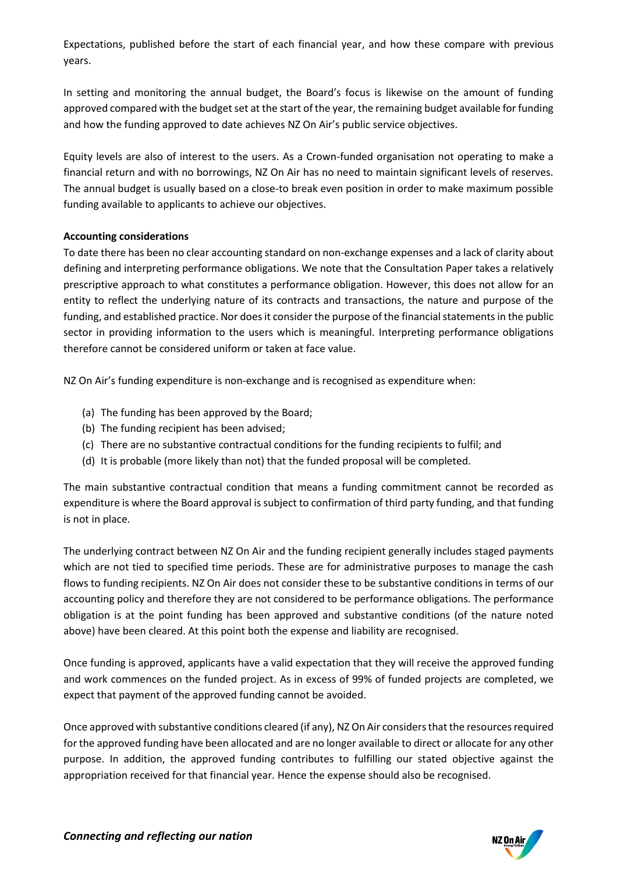Expectations, published before the start of each financial year, and how these compare with previous years.

In setting and monitoring the annual budget, the Board's focus is likewise on the amount of funding approved compared with the budget set at the start of the year, the remaining budget available for funding and how the funding approved to date achieves NZ On Air's public service objectives.

Equity levels are also of interest to the users. As a Crown-funded organisation not operating to make a financial return and with no borrowings, NZ On Air has no need to maintain significant levels of reserves. The annual budget is usually based on a close-to break even position in order to make maximum possible funding available to applicants to achieve our objectives.

## **Accounting considerations**

To date there has been no clear accounting standard on non-exchange expenses and a lack of clarity about defining and interpreting performance obligations. We note that the Consultation Paper takes a relatively prescriptive approach to what constitutes a performance obligation. However, this does not allow for an entity to reflect the underlying nature of its contracts and transactions, the nature and purpose of the funding, and established practice. Nor does it consider the purpose of the financial statements in the public sector in providing information to the users which is meaningful. Interpreting performance obligations therefore cannot be considered uniform or taken at face value.

NZ On Air's funding expenditure is non-exchange and is recognised as expenditure when:

- (a) The funding has been approved by the Board;
- (b) The funding recipient has been advised;
- (c) There are no substantive contractual conditions for the funding recipients to fulfil; and
- (d) It is probable (more likely than not) that the funded proposal will be completed.

The main substantive contractual condition that means a funding commitment cannot be recorded as expenditure is where the Board approval is subject to confirmation of third party funding, and that funding is not in place.

The underlying contract between NZ On Air and the funding recipient generally includes staged payments which are not tied to specified time periods. These are for administrative purposes to manage the cash flows to funding recipients. NZ On Air does not consider these to be substantive conditions in terms of our accounting policy and therefore they are not considered to be performance obligations. The performance obligation is at the point funding has been approved and substantive conditions (of the nature noted above) have been cleared. At this point both the expense and liability are recognised.

Once funding is approved, applicants have a valid expectation that they will receive the approved funding and work commences on the funded project. As in excess of 99% of funded projects are completed, we expect that payment of the approved funding cannot be avoided.

Once approved with substantive conditions cleared (if any), NZ On Air considers that the resources required for the approved funding have been allocated and are no longer available to direct or allocate for any other purpose. In addition, the approved funding contributes to fulfilling our stated objective against the appropriation received for that financial year. Hence the expense should also be recognised.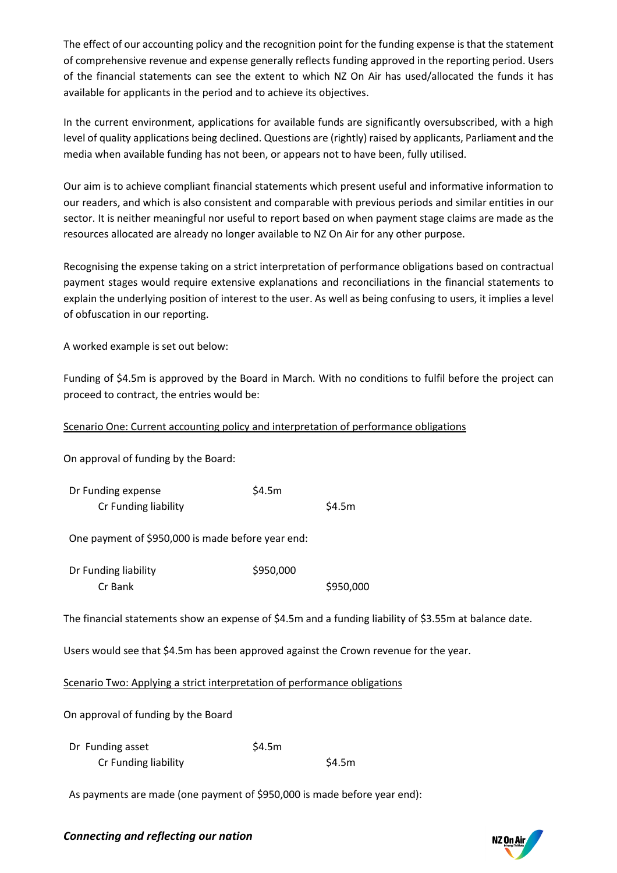The effect of our accounting policy and the recognition point for the funding expense is that the statement of comprehensive revenue and expense generally reflects funding approved in the reporting period. Users of the financial statements can see the extent to which NZ On Air has used/allocated the funds it has available for applicants in the period and to achieve its objectives.

In the current environment, applications for available funds are significantly oversubscribed, with a high level of quality applications being declined. Questions are (rightly) raised by applicants, Parliament and the media when available funding has not been, or appears not to have been, fully utilised.

Our aim is to achieve compliant financial statements which present useful and informative information to our readers, and which is also consistent and comparable with previous periods and similar entities in our sector. It is neither meaningful nor useful to report based on when payment stage claims are made as the resources allocated are already no longer available to NZ On Air for any other purpose.

Recognising the expense taking on a strict interpretation of performance obligations based on contractual payment stages would require extensive explanations and reconciliations in the financial statements to explain the underlying position of interest to the user. As well as being confusing to users, it implies a level of obfuscation in our reporting.

A worked example is set out below:

Funding of \$4.5m is approved by the Board in March. With no conditions to fulfil before the project can proceed to contract, the entries would be:

## Scenario One: Current accounting policy and interpretation of performance obligations

On approval of funding by the Board:

| Dr Funding expense   | \$4.5m |        |
|----------------------|--------|--------|
| Cr Funding liability |        | \$4.5m |

One payment of \$950,000 is made before year end:

| Dr Funding liability | \$950,000 |           |
|----------------------|-----------|-----------|
| Cr Bank              |           | \$950,000 |

The financial statements show an expense of \$4.5m and a funding liability of \$3.55m at balance date.

Users would see that \$4.5m has been approved against the Crown revenue for the year.

Scenario Two: Applying a strict interpretation of performance obligations

On approval of funding by the Board

| Dr Funding asset     | \$4.5m |        |
|----------------------|--------|--------|
| Cr Funding liability |        | \$4.5m |

As payments are made (one payment of \$950,000 is made before year end):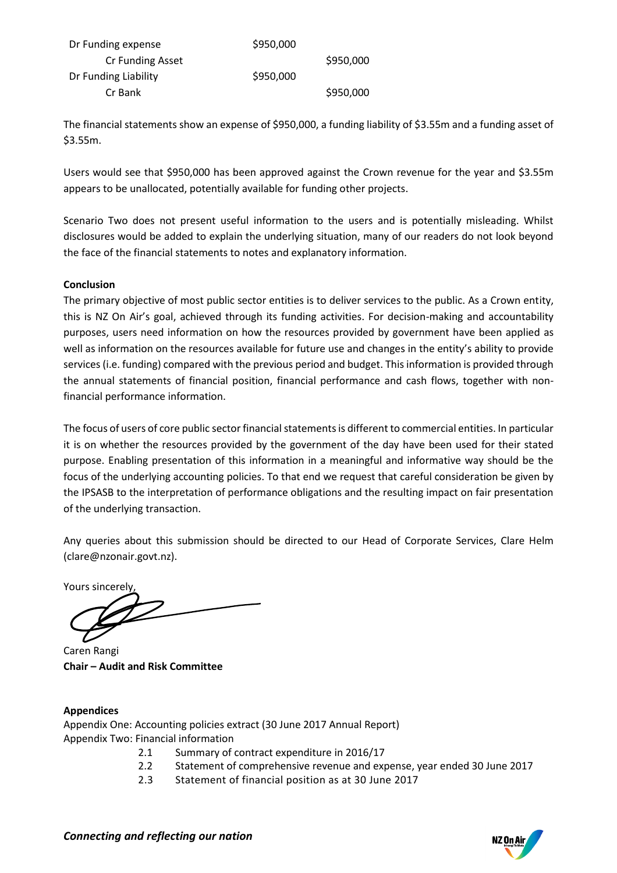| Dr Funding expense   | \$950,000 |           |
|----------------------|-----------|-----------|
| Cr Funding Asset     |           | \$950,000 |
| Dr Funding Liability | \$950,000 |           |
| Cr Bank              |           | \$950,000 |

The financial statements show an expense of \$950,000, a funding liability of \$3.55m and a funding asset of \$3.55m.

Users would see that \$950,000 has been approved against the Crown revenue for the year and \$3.55m appears to be unallocated, potentially available for funding other projects.

Scenario Two does not present useful information to the users and is potentially misleading. Whilst disclosures would be added to explain the underlying situation, many of our readers do not look beyond the face of the financial statements to notes and explanatory information.

## **Conclusion**

The primary objective of most public sector entities is to deliver services to the public. As a Crown entity, this is NZ On Air's goal, achieved through its funding activities. For decision-making and accountability purposes, users need information on how the resources provided by government have been applied as well as information on the resources available for future use and changes in the entity's ability to provide services (i.e. funding) compared with the previous period and budget. This information is provided through the annual statements of financial position, financial performance and cash flows, together with nonfinancial performance information.

The focus of users of core public sector financial statements is different to commercial entities. In particular it is on whether the resources provided by the government of the day have been used for their stated purpose. Enabling presentation of this information in a meaningful and informative way should be the focus of the underlying accounting policies. To that end we request that careful consideration be given by the IPSASB to the interpretation of performance obligations and the resulting impact on fair presentation of the underlying transaction.

Any queries about this submission should be directed to our Head of Corporate Services, Clare Helm (clare@nzonair.govt.nz).

Yours sincerely,

Caren Rangi **Chair – Audit and Risk Committee**

## **Appendices**

Appendix One: Accounting policies extract (30 June 2017 Annual Report) Appendix Two: Financial information

- 2.1 Summary of contract expenditure in 2016/17
- 2.2 Statement of comprehensive revenue and expense, year ended 30 June 2017
- 2.3 Statement of financial position as at 30 June 2017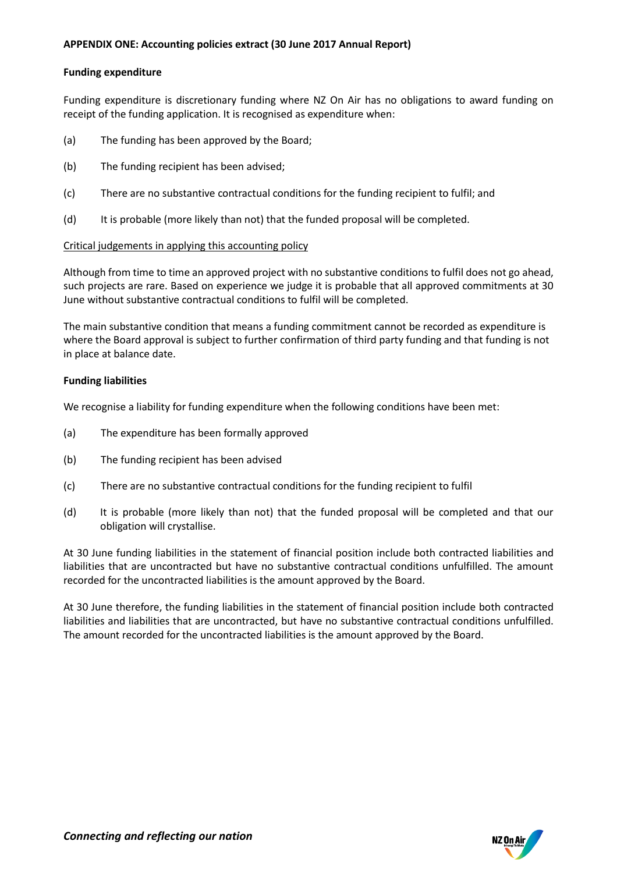### **APPENDIX ONE: Accounting policies extract (30 June 2017 Annual Report)**

#### **Funding expenditure**

Funding expenditure is discretionary funding where NZ On Air has no obligations to award funding on receipt of the funding application. It is recognised as expenditure when:

- (a) The funding has been approved by the Board;
- (b) The funding recipient has been advised;
- (c) There are no substantive contractual conditions for the funding recipient to fulfil; and
- (d) It is probable (more likely than not) that the funded proposal will be completed.

#### Critical judgements in applying this accounting policy

Although from time to time an approved project with no substantive conditions to fulfil does not go ahead, such projects are rare. Based on experience we judge it is probable that all approved commitments at 30 June without substantive contractual conditions to fulfil will be completed.

The main substantive condition that means a funding commitment cannot be recorded as expenditure is where the Board approval is subject to further confirmation of third party funding and that funding is not in place at balance date.

#### **Funding liabilities**

We recognise a liability for funding expenditure when the following conditions have been met:

- (a) The expenditure has been formally approved
- (b) The funding recipient has been advised
- (c) There are no substantive contractual conditions for the funding recipient to fulfil
- (d) It is probable (more likely than not) that the funded proposal will be completed and that our obligation will crystallise.

At 30 June funding liabilities in the statement of financial position include both contracted liabilities and liabilities that are uncontracted but have no substantive contractual conditions unfulfilled. The amount recorded for the uncontracted liabilities is the amount approved by the Board.

At 30 June therefore, the funding liabilities in the statement of financial position include both contracted liabilities and liabilities that are uncontracted, but have no substantive contractual conditions unfulfilled. The amount recorded for the uncontracted liabilities is the amount approved by the Board.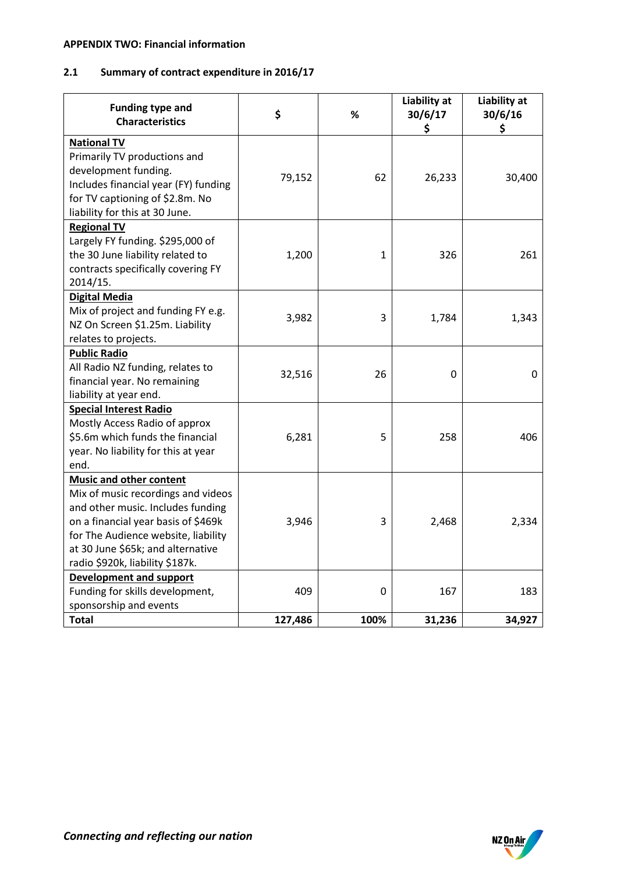### **APPENDIX TWO: Financial information**

# **2.1 Summary of contract expenditure in 2016/17**

| <b>Funding type and</b><br><b>Characteristics</b>                                                                                 | \$      | %           | Liability at<br>30/6/17<br>\$ | Liability at<br>30/6/16<br>\$ |
|-----------------------------------------------------------------------------------------------------------------------------------|---------|-------------|-------------------------------|-------------------------------|
| <b>National TV</b><br>Primarily TV productions and                                                                                |         |             |                               |                               |
| development funding.<br>Includes financial year (FY) funding<br>for TV captioning of \$2.8m. No<br>liability for this at 30 June. | 79,152  | 62          | 26,233                        | 30,400                        |
| <b>Regional TV</b>                                                                                                                |         |             |                               |                               |
| Largely FY funding. \$295,000 of                                                                                                  |         |             |                               |                               |
| the 30 June liability related to                                                                                                  | 1,200   | 1           | 326                           | 261                           |
| contracts specifically covering FY                                                                                                |         |             |                               |                               |
| 2014/15.                                                                                                                          |         |             |                               |                               |
| <b>Digital Media</b>                                                                                                              |         |             |                               |                               |
| Mix of project and funding FY e.g.                                                                                                | 3,982   | 3           | 1,784                         | 1,343                         |
| NZ On Screen \$1.25m. Liability                                                                                                   |         |             |                               |                               |
| relates to projects.                                                                                                              |         |             |                               |                               |
| <b>Public Radio</b>                                                                                                               |         |             |                               |                               |
| All Radio NZ funding, relates to                                                                                                  | 32,516  | 26          | 0                             | 0                             |
| financial year. No remaining<br>liability at year end.                                                                            |         |             |                               |                               |
| <b>Special Interest Radio</b>                                                                                                     |         |             |                               |                               |
| Mostly Access Radio of approx                                                                                                     |         |             |                               |                               |
| \$5.6m which funds the financial                                                                                                  | 6,281   | 5           | 258                           | 406                           |
| year. No liability for this at year                                                                                               |         |             |                               |                               |
| end.                                                                                                                              |         |             |                               |                               |
| <b>Music and other content</b>                                                                                                    |         |             |                               |                               |
| Mix of music recordings and videos                                                                                                |         |             |                               |                               |
| and other music. Includes funding                                                                                                 |         |             |                               |                               |
| on a financial year basis of \$469k                                                                                               | 3,946   | 3           | 2,468                         | 2,334                         |
| for The Audience website, liability                                                                                               |         |             |                               |                               |
| at 30 June \$65k; and alternative                                                                                                 |         |             |                               |                               |
| radio \$920k, liability \$187k.                                                                                                   |         |             |                               |                               |
| <b>Development and support</b>                                                                                                    |         |             |                               |                               |
| Funding for skills development,                                                                                                   | 409     | $\mathbf 0$ | 167                           | 183                           |
| sponsorship and events                                                                                                            |         |             |                               |                               |
| <b>Total</b>                                                                                                                      | 127,486 | 100%        | 31,236                        | 34,927                        |

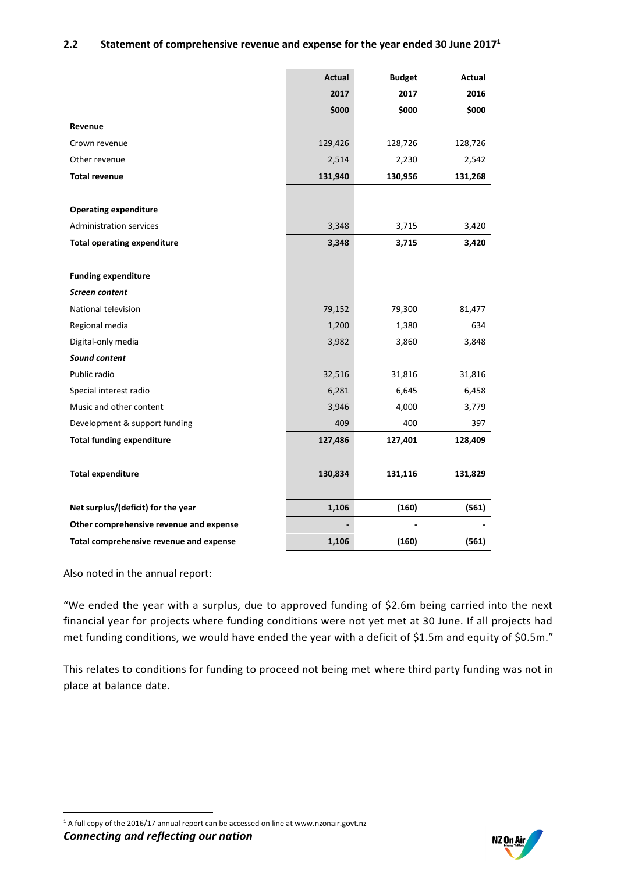### **2.2 Statement of comprehensive revenue and expense for the year ended 30 June 2017<sup>1</sup>**

|                                         | Actual  | <b>Budget</b> | Actual  |
|-----------------------------------------|---------|---------------|---------|
|                                         | 2017    | 2017          | 2016    |
|                                         | \$000   | \$000         | \$000   |
| Revenue                                 |         |               |         |
| Crown revenue                           | 129,426 | 128,726       | 128,726 |
| Other revenue                           | 2,514   | 2,230         | 2,542   |
| <b>Total revenue</b>                    | 131,940 | 130,956       | 131,268 |
|                                         |         |               |         |
| <b>Operating expenditure</b>            |         |               |         |
| <b>Administration services</b>          | 3,348   | 3,715         | 3,420   |
| <b>Total operating expenditure</b>      | 3,348   | 3,715         | 3,420   |
|                                         |         |               |         |
| <b>Funding expenditure</b>              |         |               |         |
| Screen content                          |         |               |         |
| National television                     | 79,152  | 79,300        | 81,477  |
| Regional media                          | 1,200   | 1,380         | 634     |
| Digital-only media                      | 3,982   | 3,860         | 3,848   |
| Sound content                           |         |               |         |
| Public radio                            | 32,516  | 31,816        | 31,816  |
| Special interest radio                  | 6,281   | 6,645         | 6,458   |
| Music and other content                 | 3,946   | 4,000         | 3,779   |
| Development & support funding           | 409     | 400           | 397     |
| <b>Total funding expenditure</b>        | 127,486 | 127,401       | 128,409 |
|                                         |         |               |         |
| <b>Total expenditure</b>                | 130,834 | 131,116       | 131,829 |
|                                         |         |               |         |
| Net surplus/(deficit) for the year      | 1,106   | (160)         | (561)   |
| Other comprehensive revenue and expense |         |               |         |
| Total comprehensive revenue and expense | 1,106   | (160)         | (561)   |

Also noted in the annual report:

"We ended the year with a surplus, due to approved funding of \$2.6m being carried into the next financial year for projects where funding conditions were not yet met at 30 June. If all projects had met funding conditions, we would have ended the year with a deficit of \$1.5m and equity of \$0.5m."

This relates to conditions for funding to proceed not being met where third party funding was not in place at balance date.